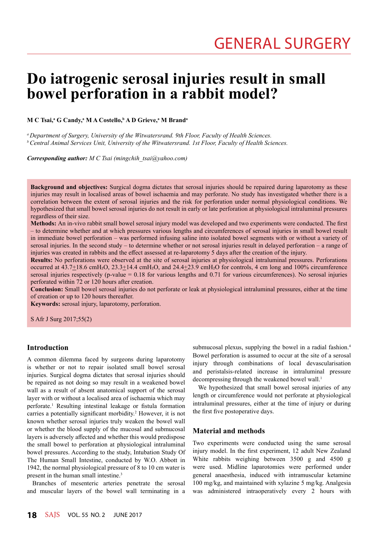# **Do iatrogenic serosal injuries result in small bowel perforation in a rabbit model?**

## $\mathbf{M} \ \mathbf{C}$  Tsai, $\mathbf{^a} \ \mathbf{G}$  Candy, $\mathbf{^a} \ \mathbf{M} \ \mathbf{A}$  Costello, $\mathbf{^b} \ \mathbf{A} \ \mathbf{D}$  Grieve, $\mathbf{^a} \ \mathbf{M} \ \mathbf{Br}$ and $\mathbf{^a}$

*a Department of Surgery, University of the Witwatersrand. 9th Floor, Faculty of Health Sciences. b Central Animal Services Unit, University of the Witwatersrand. 1st Floor, Faculty of Health Sciences.*

*Corresponding author: M C Tsai (mingchih\_tsai@yahoo.com)*

**Background and objectives:** Surgical dogma dictates that serosal injuries should be repaired during laparotomy as these injuries may result in localised areas of bowel ischaemia and may perforate. No study has investigated whether there is a correlation between the extent of serosal injuries and the risk for perforation under normal physiological conditions. We hypothesized that small bowel serosal injuries do not result in early or late perforation at physiological intraluminal pressures regardless of their size.

**Methods:** An in-vivo rabbit small bowel serosal injury model was developed and two experiments were conducted. The first – to determine whether and at which pressures various lengths and circumferences of serosal injuries in small bowel result in immediate bowel perforation – was performed infusing saline into isolated bowel segments with or without a variety of serosal injuries. In the second study – to determine whether or not serosal injuries result in delayed perforation – a range of injuries was created in rabbits and the effect assessed at re-laparotomy 5 days after the creation of the injury.

**Results:** No perforations were observed at the site of serosal injuries at physiological intraluminal pressures. Perforations occurred at  $43.7\pm18.6$  cmH<sub>2</sub>O,  $23.3\pm14.4$  cmH<sub>2</sub>O, and  $24.4\pm23.9$  cmH<sub>2</sub>O for controls, 4 cm long and 100% circumference serosal injuries respectively (p-value  $= 0.18$  for various lengths and 0.71 for various circumferences). No serosal injuries perforated within 72 or 120 hours after creation.

**Conclusion:** Small bowel serosal injuries do not perforate or leak at physiological intraluminal pressures, either at the time of creation or up to 120 hours thereafter.

**Keywords:** serosal injury, laparotomy, perforation.

S Afr J Surg 2017;55(2)

## **Introduction**

A common dilemma faced by surgeons during laparotomy is whether or not to repair isolated small bowel serosal injuries. Surgical dogma dictates that serosal injuries should be repaired as not doing so may result in a weakened bowel wall as a result of absent anatomical support of the serosal layer with or without a localised area of ischaemia which may perforate.1 Resulting intestinal leakage or fistula formation carries a potentially significant morbidity.<sup>2</sup> However, it is not known whether serosal injuries truly weaken the bowel wall or whether the blood supply of the mucosal and submucosal layers is adversely affected and whether this would predispose the small bowel to perforation at physiological intraluminal bowel pressures. According to the study, Intubation Study Of The Human Small Intestine, conducted by W.O. Abbott in 1942, the normal physiological pressure of 8 to 10 cm water is present in the human small intestine.3

Branches of mesenteric arteries penetrate the serosal and muscular layers of the bowel wall terminating in a submucosal plexus, supplying the bowel in a radial fashion.<sup>4</sup> Bowel perforation is assumed to occur at the site of a serosal injury through combinations of local devascularisation and peristalsis-related increase in intraluminal pressure decompressing through the weakened bowel wall.<sup>1</sup>

We hypothesized that small bowel serosal injuries of any length or circumference would not perforate at physiological intraluminal pressures, either at the time of injury or during the first five postoperative days.

## **Material and methods**

Two experiments were conducted using the same serosal injury model. In the first experiment, 12 adult New Zealand White rabbits weighing between 3500 g and 4500 g were used. Midline laparotomies were performed under general anaesthesia, induced with intramuscular ketamine 100 mg/kg, and maintained with xylazine 5 mg/kg. Analgesia was administered intraoperatively every 2 hours with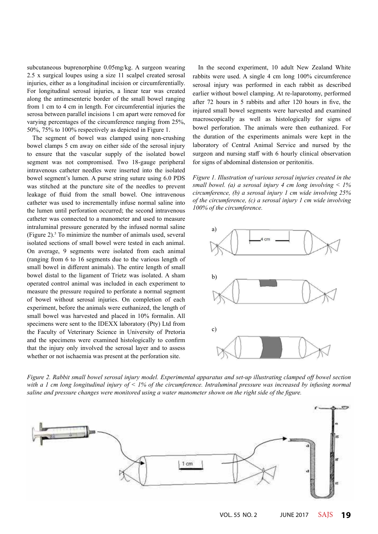subcutaneous buprenorphine 0.05mg/kg. A surgeon wearing 2.5 x surgical loupes using a size 11 scalpel created serosal injuries, either as a longitudinal incision or circumferentially. For longitudinal serosal injuries, a linear tear was created along the antimesenteric border of the small bowel ranging from 1 cm to 4 cm in length. For circumferential injuries the serosa between parallel incisions 1 cm apart were removed for varying percentages of the circumference ranging from 25%, 50%, 75% to 100% respectively as depicted in Figure 1.

The segment of bowel was clamped using non-crushing bowel clamps 5 cm away on either side of the serosal injury to ensure that the vascular supply of the isolated bowel segment was not compromised. Two 18-gauge peripheral intravenous catheter needles were inserted into the isolated bowel segment's lumen. A purse string suture using 6.0 PDS was stitched at the puncture site of the needles to prevent leakage of fluid from the small bowel. One intravenous catheter was used to incrementally infuse normal saline into the lumen until perforation occurred; the second intravenous catheter was connected to a manometer and used to measure intraluminal pressure generated by the infused normal saline (Figure 2). $5$  To minimize the number of animals used, several isolated sections of small bowel were tested in each animal. On average, 9 segments were isolated from each animal (ranging from 6 to 16 segments due to the various length of small bowel in different animals). The entire length of small bowel distal to the ligament of Trietz was isolated. A sham operated control animal was included in each experiment to measure the pressure required to perforate a normal segment of bowel without serosal injuries. On completion of each experiment, before the animals were euthanized, the length of small bowel was harvested and placed in 10% formalin. All specimens were sent to the IDEXX laboratory (Pty) Ltd from the Faculty of Veterinary Science in University of Pretoria and the specimens were examined histologically to confirm that the injury only involved the serosal layer and to assess whether or not ischaemia was present at the perforation site.

In the second experiment, 10 adult New Zealand White rabbits were used. A single 4 cm long 100% circumference serosal injury was performed in each rabbit as described earlier without bowel clamping. At re-laparotomy, performed after 72 hours in 5 rabbits and after 120 hours in five, the injured small bowel segments were harvested and examined macroscopically as well as histologically for signs of bowel perforation. The animals were then euthanized. For the duration of the experiments animals were kept in the laboratory of Central Animal Service and nursed by the surgeon and nursing staff with 6 hourly clinical observation for signs of abdominal distension or peritonitis.

*Figure 1. Illustration of various serosal injuries created in the small bowel. (a) a serosal injury 4 cm long involving < 1% circumference, (b) a serosal injury 1 cm wide involving 25% of the circumference, (c) a serosal injury 1 cm wide involving 100% of the circumference.*



*Figure 2. Rabbit small bowel serosal injury model. Experimental apparatus and set-up illustrating clamped off bowel section with a 1 cm long longitudinal injury of < 1% of the circumference. Intraluminal pressure was increased by infusing normal saline and pressure changes were monitored using a water manometer shown on the right side of the figure.*

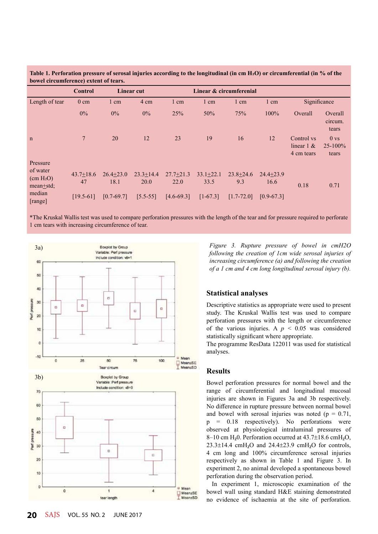|                                                                         | <b>Control</b>      | <b>Linear cut</b>     |                       | Linear & circumferenial |                       |                      |                       |                                           |                                          |
|-------------------------------------------------------------------------|---------------------|-----------------------|-----------------------|-------------------------|-----------------------|----------------------|-----------------------|-------------------------------------------|------------------------------------------|
| Length of tear                                                          | $0 \text{ cm}$      | $1 \text{ cm}$        | 4 cm                  | $1 \text{ cm}$          | 1 cm                  | $1 \text{ cm}$       | $1 \text{ cm}$        | Significance                              |                                          |
|                                                                         | $0\%$               | $0\%$                 | $0\%$                 | 25%                     | 50%                   | 75%                  | 100%                  | Overall                                   | Overall<br>circum.<br>tears              |
| $\mathbf n$                                                             | $\tau$              | 20                    | 12                    | 23                      | 19                    | 16                   | 12                    | Control vs<br>linear $1 \&$<br>4 cm tears | 0 <sub>vs</sub><br>$25 - 100\%$<br>tears |
| Pressure<br>of water<br>(cm H <sub>2</sub> O)<br>mean <sub>±</sub> std; | $43.7 + 18.6$<br>47 | $26.4 + 23.0$<br>18.1 | $23.3 + 14.4$<br>20.0 | $27.7 + 21.3$<br>22.0   | $33.1 + 22.1$<br>33.5 | $23.8 + 24.6$<br>9.3 | $24.4 + 23.9$<br>16.6 | 0.18                                      | 0.71                                     |
| median<br>[range]                                                       | $[19.5-61]$         | $[0.7-69.7]$          | $[5.5 - 55]$          | $[4.6 - 69.3]$          | $[1-67.3]$            | $[1.7 - 72.0]$       | $[0.9 - 67.3]$        |                                           |                                          |

**Table 1. Perforation pressure of serosal injuries according to the longitudinal (in cm H2O) or circumferential (in % of the bowel circumference) extent of tears.**

\*The Kruskal Wallis test was used to compare perforation pressures with the length of the tear and for pressure required to perforate 1 cm tears with increasing circumference of tear.



*Figure 3. Rupture pressure of bowel in cmH2O following the creation of 1cm wide serosal injuries of increasing circumference (a) and following the creation of a 1 cm and 4 cm long longitudinal serosal injury (b).*

#### **Statistical analyses**

Descriptive statistics as appropriate were used to present study. The Kruskal Wallis test was used to compare perforation pressures with the length or circumference of the various injuries. A  $p < 0.05$  was considered statistically significant where appropriate.

The programme ResData 122011 was used for statistical analyses.

#### **Results**

Bowel perforation pressures for normal bowel and the range of circumferential and longitudinal mucosal injuries are shown in Figures 3a and 3b respectively. No difference in rupture pressure between normal bowel and bowel with serosal injuries was noted ( $p = 0.71$ ,  $p = 0.18$  respectively). No perforations were observed at physiological intraluminal pressures of 8–10 cm H<sub>2</sub>0. Perforation occurred at  $43.7\pm18.6$  cmH<sub>2</sub>O,  $23.3\pm14.4$  cmH<sub>2</sub>O and  $24.4\pm23.9$  cmH<sub>2</sub>O for controls, 4 cm long and 100% circumference serosal injuries respectively as shown in Table 1 and Figure 3. In experiment 2, no animal developed a spontaneous bowel perforation during the observation period.

In experiment 1, microscopic examination of the bowel wall using standard H&E staining demonstrated no evidence of ischaemia at the site of perforation.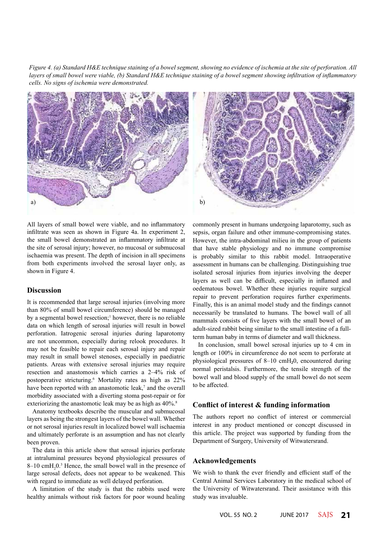*Figure 4. (a) Standard H&E technique staining of a bowel segment, showing no evidence of ischemia at the site of perforation. All layers of small bowel were viable, (b) Standard H&E technique staining of a bowel segment showing infiltration of inflammatory cells. No signs of ischemia were demonstrated.*



All layers of small bowel were viable, and no inflammatory infiltrate was seen as shown in Figure 4a. In experiment 2, the small bowel demonstrated an inflammatory infiltrate at the site of serosal injury; however, no mucosal or submucosal ischaemia was present. The depth of incision in all specimens from both experiments involved the serosal layer only, as shown in Figure 4.

#### **Discussion**

It is recommended that large serosal injuries (involving more than 80% of small bowel circumference) should be managed by a segmental bowel resection;<sup>1</sup> however, there is no reliable data on which length of serosal injuries will result in bowel perforation. Iatrogenic serosal injuries during laparotomy are not uncommon, especially during relook procedures. It may not be feasible to repair each serosal injury and repair may result in small bowel stenoses, especially in paediatric patients. Areas with extensive serosal injuries may require resection and anastomosis which carries a 2–4% risk of postoperative stricturing.6 Mortality rates as high as 22% have been reported with an anastomotic leak,<sup>7</sup> and the overall morbidity associated with a diverting stoma post-repair or for exteriorizing the anastomotic leak may be as high as  $40\%$ .<sup>8</sup>

Anatomy textbooks describe the muscular and submucosal layers as being the strongest layers of the bowel wall. Whether or not serosal injuries result in localized bowel wall ischaemia and ultimately perforate is an assumption and has not clearly been proven.

The data in this article show that serosal injuries perforate at intraluminal pressures beyond physiological pressures of  $8-10$  cmH<sub>2</sub> $0.3$  Hence, the small bowel wall in the presence of large serosal defects, does not appear to be weakened. This with regard to immediate as well delayed perforation.

A limitation of the study is that the rabbits used were healthy animals without risk factors for poor wound healing commonly present in humans undergoing laparotomy, such as sepsis, organ failure and other immune-compromising states. However, the intra-abdominal milieu in the group of patients that have stable physiology and no immune compromise is probably similar to this rabbit model. Intraoperative assessment in humans can be challenging. Distinguishing true isolated serosal injuries from injuries involving the deeper layers as well can be difficult, especially in inflamed and oedematous bowel. Whether these injuries require surgical repair to prevent perforation requires further experiments. Finally, this is an animal model study and the findings cannot necessarily be translated to humans. The bowel wall of all mammals consists of five layers with the small bowel of an adult-sized rabbit being similar to the small intestine of a fullterm human baby in terms of diameter and wall thickness.

In conclusion, small bowel serosal injuries up to 4 cm in length or 100% in circumference do not seem to perforate at physiological pressures of 8–10 cmH₂0, encountered during normal peristalsis. Furthermore, the tensile strength of the bowel wall and blood supply of the small bowel do not seem to be affected.

#### **Conflict of interest & funding information**

The authors report no conflict of interest or commercial interest in any product mentioned or concept discussed in this article. The project was supported by funding from the Department of Surgery, University of Witwatersrand.

#### **Acknowledgements**

We wish to thank the ever friendly and efficient staff of the Central Animal Services Laboratory in the medical school of the University of Witwatersrand. Their assistance with this study was invaluable.